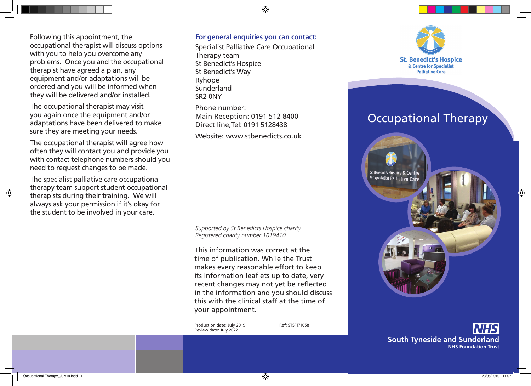Following this appointment, the occupational therapist will discuss options with you to help you overcome any problems. Once you and the occupational therapist have agreed a plan, any equipment and/or adaptations will be ordered and you will be informed when they will be delivered and/or installed.

The occupational therapist may visit you again once the equipment and/or adaptations have been delivered to make sure they are meeting your needs.

The occupational therapist will agree how often they will contact you and provide you with contact telephone numbers should you need to request changes to be made.

The specialist palliative care occupational therapy team support student occupational therapists during their training. We will always ask your permission if it's okay for the student to be involved in your care.

#### **For general enquiries you can contact:**

 $\bigcirc$ 

Specialist Palliative Care Occupational Therapy team St Benedict's Hospice St Benedict's Way Ryhope Sunderland SR2 0NY

Phone number: Main Reception: 0191 512 8400 Direct line,Tel: 0191 5128438

Website: www.stbenedicts.co.uk

*Supported by St Benedicts Hospice charity Registered charity number 1019410*

This information was correct at the time of publication. While the Trust makes every reasonable effort to keep its information leaflets up to date, very recent changes may not yet be reflected in the information and you should discuss this with the clinical staff at the time of your appointment.

Production date: July 2019 Ref: STSFT/1058 Review date: July 2022



**South Tyneside and Sunderland NHS Foundation Trust**  $\bigcirc$